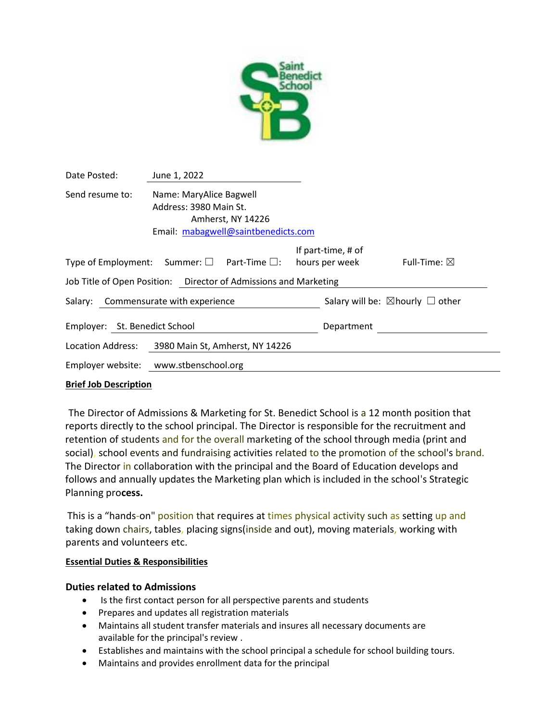

| Date Posted:                         | June 1, 2022                                                                                                  |  |                                                                |  |  |
|--------------------------------------|---------------------------------------------------------------------------------------------------------------|--|----------------------------------------------------------------|--|--|
| Send resume to:                      | Name: MaryAlice Bagwell<br>Address: 3980 Main St.<br>Amherst, NY 14226<br>Email: mabagwell@saintbenedicts.com |  |                                                                |  |  |
|                                      | Type of Employment: Summer: $\square$ Part-Time $\square$ :                                                   |  | If part-time, # of<br>Full-Time: $\boxtimes$<br>hours per week |  |  |
|                                      | Job Title of Open Position: Director of Admissions and Marketing                                              |  |                                                                |  |  |
| Salary: Commensurate with experience |                                                                                                               |  | Salary will be: $\boxtimes$ hourly $\Box$ other                |  |  |
| Employer: St. Benedict School        |                                                                                                               |  | Department                                                     |  |  |
| Location Address:                    | 3980 Main St, Amherst, NY 14226                                                                               |  |                                                                |  |  |
|                                      | Employer website: www.stbenschool.org                                                                         |  |                                                                |  |  |

# **Brief Job Description**

The Director of Admissions & Marketing for St. Benedict School is a 12 month position that reports directly to the school principal. The Director is responsible for the recruitment and retention of students and for the overall marketing of the school through media (print and social), school events and fundraising activities related to the promotion of the school's brand. The Director in collaboration with the principal and the Board of Education develops and follows and annually updates the Marketing plan which is included in the school's Strategic Planning pro**cess.**

This is a "hands-on" position that requires at times physical activity such as setting up and taking down chairs, tables, placing signs(inside and out), moving materials, working with parents and volunteers etc.

### **Essential Duties & Responsibilities**

### **Duties related to Admissions**

- Is the first contact person for all perspective parents and students
- Prepares and updates all registration materials
- Maintains all student transfer materials and insures all necessary documents are available for the principal's review .
- Establishes and maintains with the school principal a schedule for school building tours.
- Maintains and provides enrollment data for the principal